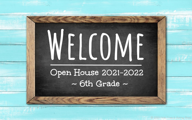# **Welcome Open House 2021-2022 ~ 6th Grade ~**

@ 2020 First Tries & Sunny Skies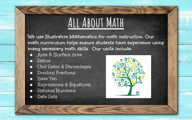## **All About Math**

**We use Illustrative Mathematics for math instruction. Our math curriculum helps ensure students have experience using many necessary math skills. Our units include:** 

- Area & Surface Area
- Ratios
- Unit Rates & Percentages
- Dividing Fractions
- Base Ten
- Expressions & Equations
- Rational Numbers
- Data Sets

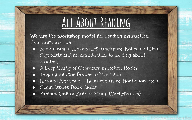#### **All About Reading**

**We use the workshop model for reading instruction.**  Our units include:

- Maintaining a Reading Life (including Notice and Note Signposts and an introduction to writing about reading)
- A Deep Study of Character in Fiction Books
- Tapping into the Power of Nonfiction
- $\bullet$  Reading Argument Research using Nonfiction texts
- Social Issues Book Clubs
- Fantasy Unit or Author Study (Carl Hiaasen)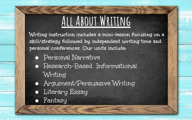## **All About Writing**

**Writing instruction includes a mini-lesson focusing on a skill/strategy followed by independent writing time and personal conferences. Our units include:**

- Personal Narrative
- Research-Based Informational
	- Writing
- Argument/Persuasive Writing
- Literary Essay
- Fantasy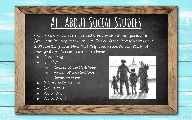# **All About Social Studies**

Our Social Studies units mostly cover significant periods in American history from the late 19th century through the early 20th century. Our New York trip complements our study of Immigration. The units are as follows:

- Geography
- Civil War
	- Causes of the Civil War
	- Battles of the Civil War
	- Reconstruction
- Industrial Revolution
- Immigration
- World War I
- World War II

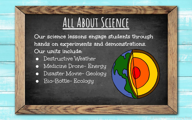# **All About Science**

**Our science lessons engage students through hands on experiments and demonstrations. Our units include:** 

- Destructive Weather
- Medicine Drone- Energy
- Disaster Movie- Geology
- Bio-Bottle- Ecology

ahiliamarin ink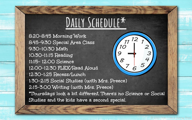## **Daily Schedule\***

**8:20-8:45 Morning Work 8:45-9:30 Special Area Class 9:30-10:30 Math 10:30-11:15 Reading**  $\mathcal{S}% _{M_{1},M_{2}}^{\alpha,\beta}(\varepsilon)$ **11:15- 12:00 Science 12:00-12:30 FLEX/Read Aloud 12:30-1:25 Recess/Lunch 1:30-2:15 Social Studies (with Mrs. Preece) 2:15-3:00 Writing (with Mrs. Preece) \*Thursdays look a bit different. There's no Science or Social Studies and the kids have a second special.**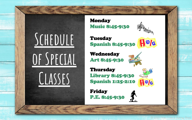

**Monday Music 8:45-9:30** 



**Tuesday** H0/0 **Spanish 8:45-9:30** 

**Wednesday** Art 8:45-9:30



 $\sum_{i=1}^{n}$ 

**Thursday Library 8:45-9:30 Spanish 1:25-2:10** 

**Friday** P.E. 8:45-9:30

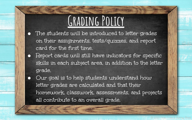## **Grading Policy**

- The students will be introduced to letter grades on their assignments, tests/quizzes, and report card for the first time.
- Report cards will still have indicators for specific skills in each subject area, in addition to the letter grade.

Our goal is to help students understand how letter grades are calculated and that their homework, classwork, assessments, and projects all contribute to an overall grade.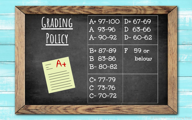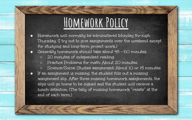#### **Homework Policy**

● Homework will normally be administered Monday through Thursday. (I try not to give assignments over the weekend except for studying and long-term project work.)

● Generally homework should take about 45 - 60 minutes.

- 20 minutes of independent reading.
- Practice Problems for math: About 20 minutes.
- Science/Social Studies assignment: About 10 or 15 minutes.
- If an assignment is missing, the student fills out a missing assignment slip. After three missing homework assignments, the slips will go home to be signed and the student will receive a lunch detention. (The tally of missing homework "resets" at the end of each term.)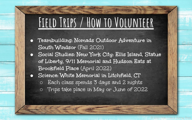## **Field Trips / How to Volunteer**

- **Teambuilding: Nomads Outdoor Adventure in South Windsor** (Fall 2021)
- **Social Studies: New York City: Ellis Island, Statue of Liberty, 9/11 Memorial and Hudson Eats at Brookfield Place** (April 2022)
- **Science: White Memorial in Litchfield, CT**
	- Each class spends 3 days and 2 nights
	- Trips take place in May or June of 2022